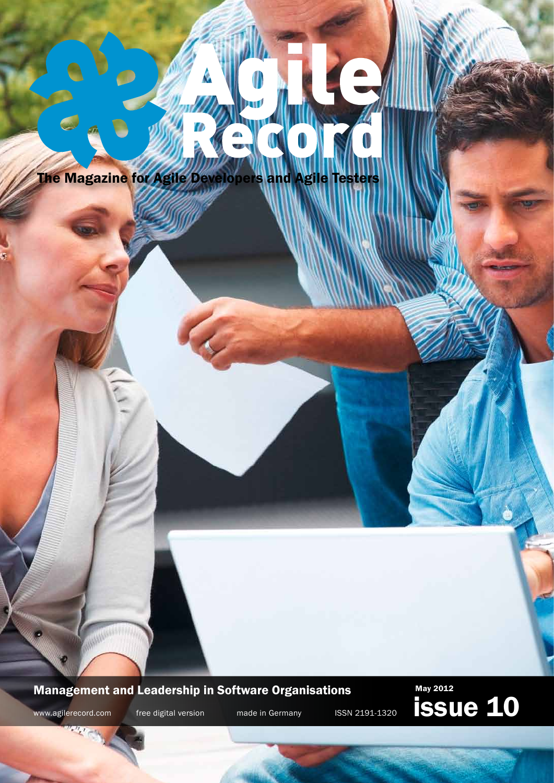

W

**TTTT** 

O

Management and Leadership in Software Organisations

May 2012 www.agilerecord.com free digital version made in Germany ISSN 2191-1320 **ISSUC 10**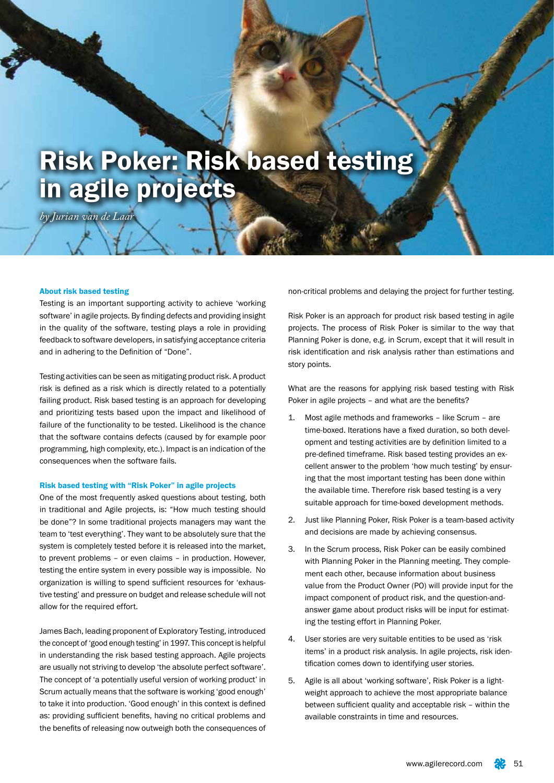# Risk Poker: Risk based testing in agile projects

*by Jurian van de Laar*

# About risk based testing

Testing is an important supporting activity to achieve 'working software' in agile projects. By finding defects and providing insight in the quality of the software, testing plays a role in providing feedback to software developers, in satisfying acceptance criteria and in adhering to the Definition of "Done".

Testing activities can be seen as mitigating product risk. A product risk is defined as a risk which is directly related to a potentially failing product. Risk based testing is an approach for developing and prioritizing tests based upon the impact and likelihood of failure of the functionality to be tested. Likelihood is the chance that the software contains defects (caused by for example poor programming, high complexity, etc.). Impact is an indication of the consequences when the software fails.

# Risk based testing with "Risk Poker" in agile projects

One of the most frequently asked questions about testing, both in traditional and Agile projects, is: "How much testing should be done"? In some traditional projects managers may want the team to 'test everything'. They want to be absolutely sure that the system is completely tested before it is released into the market, to prevent problems – or even claims – in production. However, testing the entire system in every possible way is impossible. No organization is willing to spend sufficient resources for 'exhaustive testing' and pressure on budget and release schedule will not allow for the required effort.

James Bach, leading proponent of Exploratory Testing, introduced the concept of 'good enough testing' in 1997. This concept is helpful in understanding the risk based testing approach. Agile projects are usually not striving to develop 'the absolute perfect software'. The concept of 'a potentially useful version of working product' in Scrum actually means that the software is working 'good enough' to take it into production. 'Good enough' in this context is defined as: providing sufficient benefits, having no critical problems and the benefits of releasing now outweigh both the consequences of

non-critical problems and delaying the project for further testing.

Risk Poker is an approach for product risk based testing in agile projects. The process of Risk Poker is similar to the way that Planning Poker is done, e.g. in Scrum, except that it will result in risk identification and risk analysis rather than estimations and story points.

What are the reasons for applying risk based testing with Risk Poker in agile projects – and what are the benefits?

- 1. Most agile methods and frameworks like Scrum are time-boxed. Iterations have a fixed duration, so both development and testing activities are by definition limited to a pre-defined timeframe. Risk based testing provides an excellent answer to the problem 'how much testing' by ensuring that the most important testing has been done within the available time. Therefore risk based testing is a very suitable approach for time-boxed development methods.
- 2. Just like Planning Poker, Risk Poker is a team-based activity and decisions are made by achieving consensus.
- 3. In the Scrum process, Risk Poker can be easily combined with Planning Poker in the Planning meeting. They complement each other, because information about business value from the Product Owner (PO) will provide input for the impact component of product risk, and the question-andanswer game about product risks will be input for estimating the testing effort in Planning Poker.
- 4. User stories are very suitable entities to be used as 'risk items' in a product risk analysis. In agile projects, risk identification comes down to identifying user stories.
- 5. Agile is all about 'working software', Risk Poker is a lightweight approach to achieve the most appropriate balance between sufficient quality and acceptable risk – within the available constraints in time and resources.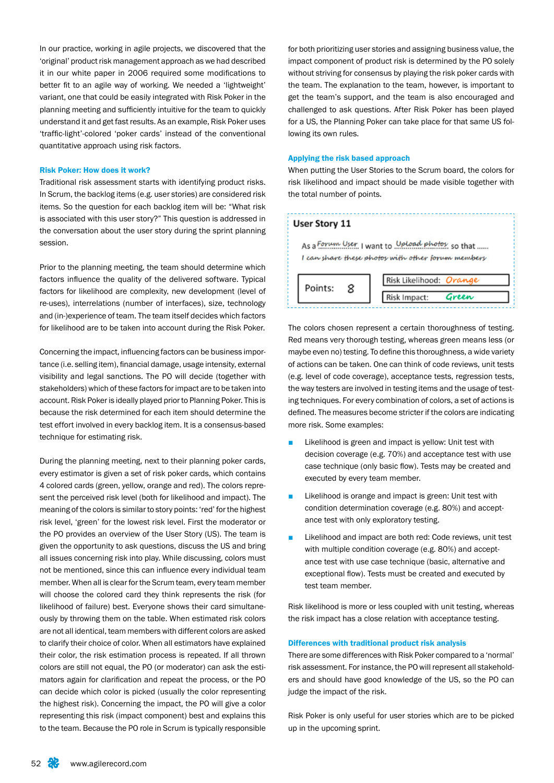In our practice, working in agile projects, we discovered that the 'original' product risk management approach as we had described it in our white paper in 2006 required some modifications to better fit to an agile way of working. We needed a 'lightweight' variant, one that could be easily integrated with Risk Poker in the planning meeting and sufficiently intuitive for the team to quickly understand it and get fast results. As an example, Risk Poker uses 'traffic-light'-colored 'poker cards' instead of the conventional quantitative approach using risk factors.

# Risk Poker: How does it work?

Traditional risk assessment starts with identifying product risks. In Scrum, the backlog items (e.g. user stories) are considered risk items. So the question for each backlog item will be: "What risk is associated with this user story?" This question is addressed in the conversation about the user story during the sprint planning session.

Prior to the planning meeting, the team should determine which factors influence the quality of the delivered software. Typical factors for likelihood are complexity, new development (level of re-uses), interrelations (number of interfaces), size, technology and (in-)experience of team. The team itself decides which factors for likelihood are to be taken into account during the Risk Poker.

Concerning the impact, influencing factors can be business importance (i.e. selling item), financial damage, usage intensity, external visibility and legal sanctions. The PO will decide (together with stakeholders) which of these factors for impact are to be taken into account. Risk Poker is ideally played prior to Planning Poker. This is because the risk determined for each item should determine the test effort involved in every backlog item. It is a consensus-based technique for estimating risk.

During the planning meeting, next to their planning poker cards, every estimator is given a set of risk poker cards, which contains 4 colored cards (green, yellow, orange and red). The colors represent the perceived risk level (both for likelihood and impact). The meaning of the colors is similar to story points: 'red' for the highest risk level, 'green' for the lowest risk level. First the moderator or the PO provides an overview of the User Story (US). The team is given the opportunity to ask questions, discuss the US and bring all issues concerning risk into play. While discussing, colors must not be mentioned, since this can influence every individual team member. When all is clear for the Scrum team, every team member will choose the colored card they think represents the risk (for likelihood of failure) best. Everyone shows their card simultaneously by throwing them on the table. When estimated risk colors are not all identical, team members with different colors are asked to clarify their choice of color. When all estimators have explained their color, the risk estimation process is repeated. If all thrown colors are still not equal, the PO (or moderator) can ask the estimators again for clarification and repeat the process, or the PO can decide which color is picked (usually the color representing the highest risk). Concerning the impact, the PO will give a color representing this risk (impact component) best and explains this to the team. Because the PO role in Scrum is typically responsible

for both prioritizing user stories and assigning business value, the impact component of product risk is determined by the PO solely without striving for consensus by playing the risk poker cards with the team. The explanation to the team, however, is important to get the team's support, and the team is also encouraged and challenged to ask questions. After Risk Poker has been played for a US, the Planning Poker can take place for that same US following its own rules.

# Applying the risk based approach

When putting the User Stories to the Scrum board, the colors for risk likelihood and impact should be made visible together with the total number of points.

# User Story 11

As a Forum User, I want to Upload photos so that ..... I can share these photos with other forum members



The colors chosen represent a certain thoroughness of testing. Red means very thorough testing, whereas green means less (or maybe even no) testing. To define this thoroughness, a wide variety of actions can be taken. One can think of code reviews, unit tests (e.g. level of code coverage), acceptance tests, regression tests, the way testers are involved in testing items and the usage of testing techniques. For every combination of colors, a set of actions is defined. The measures become stricter if the colors are indicating more risk. Some examples:

- Likelihood is green and impact is yellow: Unit test with decision coverage (e.g. 70%) and acceptance test with use case technique (only basic flow). Tests may be created and executed by every team member.
- Likelihood is orange and impact is green: Unit test with condition determination coverage (e.g. 80%) and acceptance test with only exploratory testing.
- Likelihood and impact are both red: Code reviews, unit test with multiple condition coverage (e.g. 80%) and acceptance test with use case technique (basic, alternative and exceptional flow). Tests must be created and executed by test team member.

Risk likelihood is more or less coupled with unit testing, whereas the risk impact has a close relation with acceptance testing.

#### Differences with traditional product risk analysis

There are some differences with Risk Poker compared to a 'normal' risk assessment. For instance, the PO will represent all stakeholders and should have good knowledge of the US, so the PO can judge the impact of the risk.

Risk Poker is only useful for user stories which are to be picked up in the upcoming sprint.